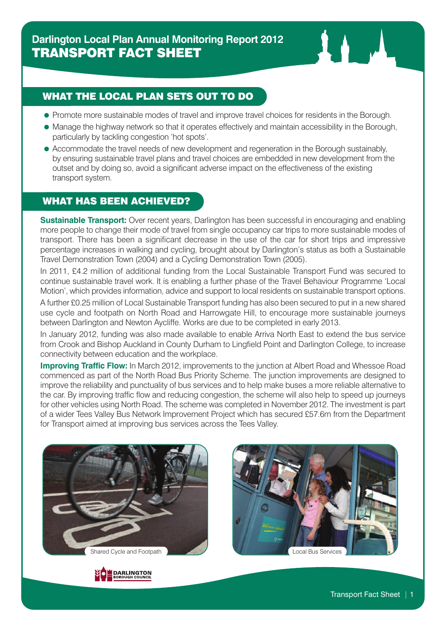# WHAT THE LOCAL PLAN SETS OUT TO DO

- Promote more sustainable modes of travel and improve travel choices for residents in the Borough.
- Manage the highway network so that it operates effectively and maintain accessibility in the Borough, particularly by tackling congestion 'hot spots'.
- Accommodate the travel needs of new development and regeneration in the Borough sustainably, by ensuring sustainable travel plans and travel choices are embedded in new development from the outset and by doing so, avoid a significant adverse impact on the effectiveness of the existing transport system.

## WHAT HAS BEEN ACHIEVED?

**Sustainable Transport:** Over recent years, Darlington has been successful in encouraging and enabling more people to change their mode of travel from single occupancy car trips to more sustainable modes of transport. There has been a significant decrease in the use of the car for short trips and impressive percentage increases in walking and cycling, brought about by Darlington's status as both a Sustainable Travel Demonstration Town (2004) and a Cycling Demonstration Town (2005).

In 2011, £4.2 million of additional funding from the Local Sustainable Transport Fund was secured to continue sustainable travel work. It is enabling a further phase of the Travel Behaviour Programme 'Local Motion', which provides information, advice and support to local residents on sustainable transport options.

A further £0.25 million of Local Sustainable Transport funding has also been secured to put in a new shared use cycle and footpath on North Road and Harrowgate Hill, to encourage more sustainable journeys between Darlington and Newton Aycliffe. Works are due to be completed in early 2013.

In January 2012, funding was also made available to enable Arriva North East to extend the bus service from Crook and Bishop Auckland in County Durham to Lingfield Point and Darlington College, to increase connectivity between education and the workplace.

**Improving Traffic Flow:** In March 2012, improvements to the junction at Albert Road and Whessoe Road commenced as part of the North Road Bus Priority Scheme. The junction improvements are designed to improve the reliability and punctuality of bus services and to help make buses a more reliable alternative to the car. By improving traffic flow and reducing congestion, the scheme will also help to speed up journeys for other vehicles using North Road. The scheme was completed in November 2012. The investment is part of a wider Tees Valley Bus Network Improvement Project which has secured £57.6m from the Department for Transport aimed at improving bus services across the Tees Valley.





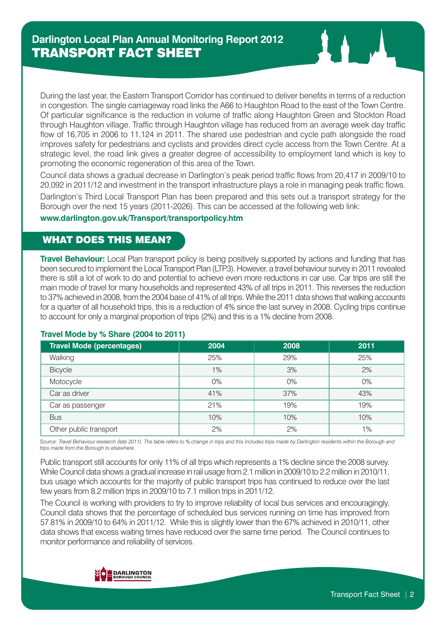During the last year, the Eastern Transport Corridor has continued to deliver benefits in terms of a reduction in congestion. The single carriageway road links the A66 to Haughton Road to the east of the Town Centre. Of particular significance is the reduction in volume of traffic along Haughton Green and Stockton Road through Haughton village. Traffic through Haughton village has reduced from an average week day traffic flow of 16,705 in 2006 to 11,124 in 2011. The shared use pedestrian and cycle path alongside the road improves safety for pedestrians and cyclists and provides direct cycle access from the Town Centre. At a strategic level, the road link gives a greater degree of accessibility to employment land which is key to promoting the economic regeneration of this area of the Town.

Council data shows a gradual decrease in Darlington's peak period traffic flows from 20,417 in 2009/10 to 20,092 in 2011/12 and investment in the transport infrastructure plays a role in managing peak traffic flows. Darlington's Third Local Transport Plan has been prepared and this sets out a transport strategy for the Borough over the next 15 years (2011-2026). This can be accessed at the following web link:

#### **www.darlington.gov.uk/Transport/transportpolicy.htm**

### WHAT DOES THIS MEAN?

**Travel Behaviour:** Local Plan transport policy is being positively supported by actions and funding that has been secured to implement the Local Transport Plan (LTP3). However, a travel behaviour survey in 2011 revealed there is still a lot of work to do and potential to achieve even more reductions in car use. Car trips are still the main mode of travel for many households and represented 43% of all trips in 2011. This reverses the reduction to 37% achieved in 2008, from the 2004 base of 41% of all trips. While the 2011 data shows thatwalking accounts for a quarter of all household trips, this is a reduction of 4% since the last survey in 2008. Cycling trips continue to account for only a marginal proportion of trips (2%) and this is a 1% decline from 2008.

| <b>Travel Mode (percentages)</b> | 2004  | 2008 | 2011  |
|----------------------------------|-------|------|-------|
| Walking                          | 25%   | 29%  | 25%   |
| <b>Bicycle</b>                   | 1%    | 3%   | 2%    |
| Motocycle                        | $0\%$ | 0%   | $0\%$ |
| Car as driver                    | 41%   | 37%  | 43%   |
| Car as passenger                 | 21%   | 19%  | 19%   |
| <b>Bus</b>                       | 10%   | 10%  | 10%   |
| Other public transport           | 2%    | 2%   | 1%    |

#### **Travel Mode by % Share (2004 to 2011)**

Source: Travel Behaviour research (late 2011). The table refers to % change in trips and this includes trips made by Darlington residents within the Borough and *trips made from the Borough to elsewhere.*

Public transport still accounts for only 11% of all trips which represents a 1% decline since the 2008 survey. While Council data shows a gradual increase in rail usage from 2.1 million in 2009/10 to 2.2 million in 2010/11, bus usage which accounts for the majority of public transport trips has continued to reduce over the last few years from 8.2 million trips in 2009/10 to 7.1 million trips in 2011/12.

The Council is working with providers to try to improve reliability of local bus services and encouragingly, Council data shows that the percentage of scheduled bus services running on time has improved from 57.81% in 2009/10 to 64% in 2011/12. While this is slightly lower than the 67% achieved in 2010/11, other data shows that excess waiting times have reduced over the same time period. The Council continues to monitor performance and reliability of services.

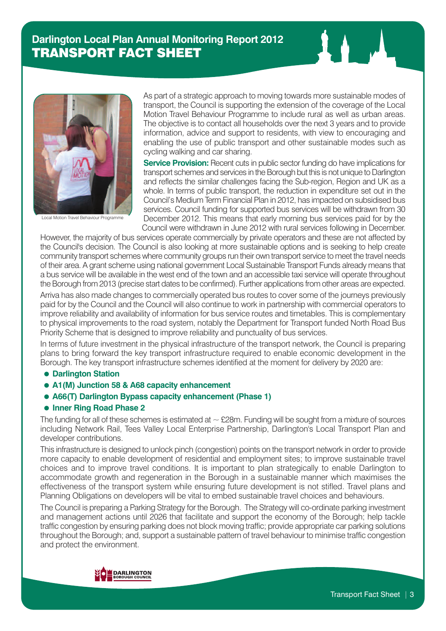

**Local Motion Travel Behaviour Programme** 

As part of a strategic approach to moving towards more sustainable modes of transport, the Council is supporting the extension of the coverage of the Local Motion Travel Behaviour Programme to include rural as well as urban areas. The objective is to contact all households over the next 3 years and to provide information, advice and support to residents, with view to encouraging and enabling the use of public transport and other sustainable modes such as cycling walking and car sharing.

**Service Provision:** Recent cuts in public sector funding do have implications for transport schemes and services in the Borough but this is not unique to Darlington and reflects the similar challenges facing the Sub-region, Region and UK as a whole. In terms of public transport, the reduction in expenditure set out in the Council's Medium Term Financial Plan in 2012, has impacted on subsidised bus services. Council funding for supported bus services will be withdrawn from 30 December 2012. This means that early morning bus services paid for by the Council were withdrawn in June 2012 with rural services following in December.

However, the majority of bus services operate commercially by private operators and these are not affected by the Council's decision. The Council is also looking at more sustainable options and is seeking to help create community transport schemeswhere community groups run their own transport service to meet the travel needs of their area. A grant scheme using national government Local Sustainable Transport Funds already means that a bus service will be available in the west end of the town and an accessible taxi service will operate throughout the Borough from 2013 (precise start dates to be confirmed). Further applications from other areas are expected.

Arriva has also made changes to commercially operated bus routes to cover some of the journeys previously paid for by the Council and the Council will also continue to work in partnership with commercial operators to improve reliability and availability of information for bus service routes and timetables. This is complementary to physical improvements to the road system, notably the Department for Transport funded North Road Bus Priority Scheme that is designed to improve reliability and punctuality of bus services.

In terms of future investment in the physical infrastructure of the transport network, the Council is preparing plans to bring forward the key transport infrastructure required to enable economic development in the Borough. The key transport infrastructure schemes identified at the moment for delivery by 2020 are:

- **Darlington Station**
- **A1(M) Junction 58 & A68 capacity enhancement**
- **A66(T) Darlington Bypass capacity enhancement (Phase 1)**
- **Inner Ring Road Phase 2**

The funding for all of these schemes is estimated at  $\sim$  £28m. Funding will be sought from a mixture of sources including Network Rail, Tees Valley Local Enterprise Partnership, Darlington's Local Transport Plan and developer contributions.

This infrastructure is designed to unlock pinch (congestion) points on the transport network in order to provide more capacity to enable development of residential and employment sites; to improve sustainable travel choices and to improve travel conditions. It is important to plan strategically to enable Darlington to accommodate growth and regeneration in the Borough in a sustainable manner which maximises the effectiveness of the transport system while ensuring future development is not stifled. Travel plans and Planning Obligations on developers will be vital to embed sustainable travel choices and behaviours.

The Council is preparing a Parking Strategy for the Borough. The Strategy will co-ordinate parking investment and management actions until 2026 that facilitate and support the economy of the Borough; help tackle traffic congestion by ensuring parking does not block moving traffic; provide appropriate car parking solutions throughout the Borough; and, support a sustainable pattern of travel behaviour to minimise traffic congestion and protect the environment.